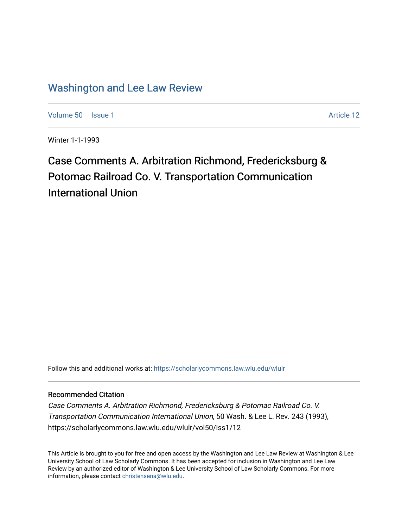## [Washington and Lee Law Review](https://scholarlycommons.law.wlu.edu/wlulr)

[Volume 50](https://scholarlycommons.law.wlu.edu/wlulr/vol50) | [Issue 1](https://scholarlycommons.law.wlu.edu/wlulr/vol50/iss1) Article 12

Winter 1-1-1993

# Case Comments A. Arbitration Richmond, Fredericksburg & Potomac Railroad Co. V. Transportation Communication International Union

Follow this and additional works at: [https://scholarlycommons.law.wlu.edu/wlulr](https://scholarlycommons.law.wlu.edu/wlulr?utm_source=scholarlycommons.law.wlu.edu%2Fwlulr%2Fvol50%2Fiss1%2F12&utm_medium=PDF&utm_campaign=PDFCoverPages) 

### Recommended Citation

Case Comments A. Arbitration Richmond, Fredericksburg & Potomac Railroad Co. V. Transportation Communication International Union, 50 Wash. & Lee L. Rev. 243 (1993), https://scholarlycommons.law.wlu.edu/wlulr/vol50/iss1/12

This Article is brought to you for free and open access by the Washington and Lee Law Review at Washington & Lee University School of Law Scholarly Commons. It has been accepted for inclusion in Washington and Lee Law Review by an authorized editor of Washington & Lee University School of Law Scholarly Commons. For more information, please contact [christensena@wlu.edu](mailto:christensena@wlu.edu).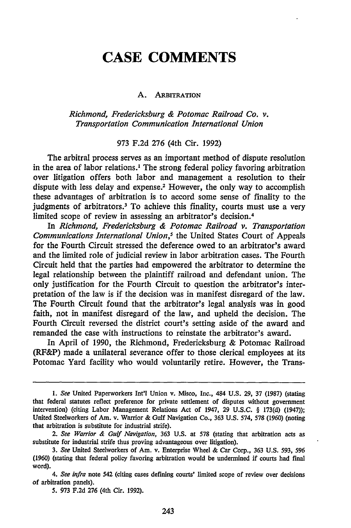## **CASE COMMENTS**

#### A. **ARBITRATION**

*Richmond, Fredericksburg & Potomac Railroad Co. v. Transportation Communication International Union*

#### 973 F.2d 276 (4th Cir. 1992)

The arbitral process serves as an important method of dispute resolution in the area of labor relations.' The strong federal policy favoring arbitration over litigation offers both labor and management a resolution to their dispute with less delay and expense.2 However, the only way to accomplish these advantages of arbitration is to accord some sense of finality to the judgments of arbitrators.<sup>3</sup> To achieve this finality, courts must use a very limited scope of review in assessing an arbitrator's decision.4

In *Richmond, Fredericksburg & Potomac Railroad v. Transportation Communications International Union,5* the United States Court of Appeals for the Fourth Circuit stressed the deference owed to an arbitrator's award and the limited role of judicial review in labor arbitration cases. The Fourth Circuit held that the parties had empowered the arbitrator to determine the legal relationship between the plaintiff railroad and defendant union. The only justification for the Fourth Circuit to question the arbitrator's interpretation of the law is if the decision was in manifest disregard of the law. The Fourth Circuit found that the arbitrator's legal analysis was in good faith, not in manifest disregard of the law, and upheld the decision. The Fourth Circuit reversed the district court's setting aside of the award and remanded the case with instructions to reinstate the arbitrator's award.

In April of 1990, the Richmond, Fredericksburg & Potomac Railroad (RF&P) made a unilateral severance offer to those clerical employees at its Potomac Yard facility who would voluntarily retire. However, the Trans-

*I. See* United Paperworkers Int'l Union v. Misco, Inc., 484 U.S. 29, 37 (1987) (stating that federal statutes reflect preference for private settlement of disputes without government intervention) (citing Labor Management Relations Act of 1947, 29 U.S.C. § 173(d) (1947)); United Steelworkers of Am. v. Warrior & Gulf Navigation Co., 363 **U.S.** 574, 578 (1960) (noting that arbitration is substitute for industrial strife).

*<sup>2.</sup> See Warrior & Gulf Navigation,* **363** U.S. at **578** (stating that arbitration acts as substitute for industrial strife thus proving advantageous over litigation).

*<sup>3.</sup> See* United Steelworkers of Am. v. Enterprise Wheel & Car Corp., **363** U.S. 593, *596* (1960) (stating that federal policy favoring arbitration would be undermined if courts had final word).

*<sup>4.</sup> See infra* note 542 (citing cases defining courts' limited scope of review over decisions of arbitration panels).

*<sup>5.</sup>* **973 F.2d 276** (4th Cir. **1992).**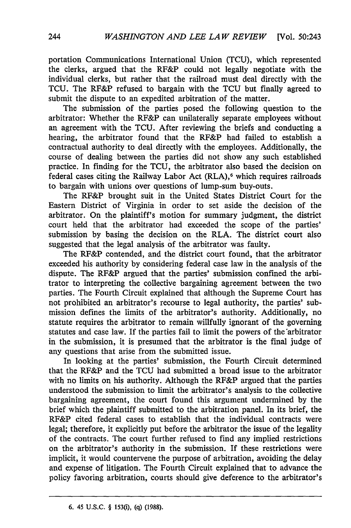portation Communications International Union (TCU), which represented the clerks, argued that the RF&P could not legally negotiate with the individual clerks, but rather that the railroad must deal directly with the TCU. The RF&P refused to bargain with the TCU but finally agreed to submit the dispute to an expedited arbitration of the matter.

The submission of the parties posed the following question to the arbitrator: Whether the RF&P can unilaterally separate employees without an agreement with the TCU. After reviewing the briefs and conducting a hearing, the arbitrator found that the RF&P had failed to establish a contractual authority to deal directly with the employees. Additionally, the course of dealing between the parties did not show any such established practice. In finding for the TCU, the arbitrator also based the decision on federal cases citing the Railway Labor Act (RLA),<sup>6</sup> which requires railroads to bargain with unions over questions of lump-sum buy-outs.

The RF&P brought suit in the United States District Court for the Eastern District of Virginia in order to set aside the decision of the arbitrator. On the plaintiff's motion for summary judgment, the district court held that the arbitrator had exceeded the scope of the parties' submission by basing the decision on the RLA. The district court also suggested that the legal analysis of the arbitrator was faulty.

The RF&P contended, and the district court found, that the arbitrator exceeded his authority by considering federal case law in the analysis of the dispute. The RF&P argued that the parties' submission confined the arbitrator to interpreting the collective bargaining agreement between the two parties. The Fourth Circuit explained that although the Supreme Court has not prohibited an arbitrator's recourse to legal authority, the parties' submission defines the limits of the arbitrator's authority. Additionally, no statute requires the arbitrator to remain willfully ignorant of the governing statutes and case law. If the parties fail to limit the powers of the arbitrator in the submission, it is presumed that the arbitrator is the final judge of any questions that arise from the submitted issue.

In looking at the parties' submission, the Fourth Circuit determined that the RF&P and the TCU had submitted a broad issue to the arbitrator with no limits on his authority. Although the RF&P argued that the parties understood the submission to limit the arbitrator's analysis to the collective bargaining agreement, the court found this argument undermined by the brief which the plaintiff submitted to the arbitration panel. In its brief, the RF&P cited federal cases to establish that the individual contracts were legal; therefore, it explicitly put before the arbitrator the issue of the legality of the contracts. The court further refused to find any implied restrictions on the arbitrator's authority in the submission. If these restrictions were implicit, it would countervene the purpose of arbitration, avoiding the delay and expense of litigation. The Fourth Circuit explained that to advance the policy favoring arbitration, courts should give deference to the arbitrator's

**<sup>6.</sup>** 45 **U.S.C.** § 153(i), **(q)** (1988).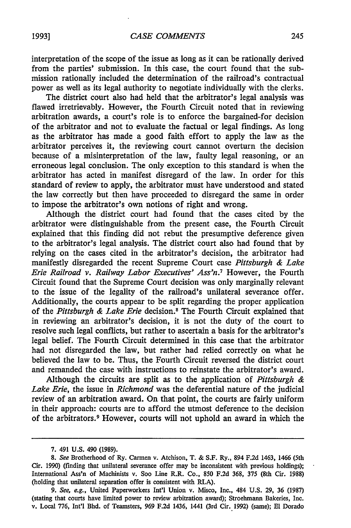interpretation of the scope of the issue as long as it can be rationally derived from the parties' submission. In this case, the court found that the submission rationally included the determination of the railroad's contractual power as well as its legal authority to negotiate individually with the clerks.

The district court also had held that the arbitrator's legal analysis was flawed irretrievably. However, the Fourth Circuit noted that in reviewing arbitration awards, a court's role is to enforce the bargained-for decision of the arbitrator and not to evaluate the factual or legal findings. As long as the arbitrator has made a good faith effort to apply the law as the arbitrator perceives it, the reviewing court cannot overturn the decision because of a misinterpretation of the law, faulty legal reasoning, or an erroneous legal conclusion. The only exception to this standard is when the arbitrator has acted in manifest disregard of the law. In order for this standard of review to apply, the arbitrator must have understood and stated the law correctly but then have proceeded to disregard the same in order to impose the arbitrator's own notions of right and wrong.

Although the district court had found that the cases cited by the arbitrator were distinguishable from the present case, the Fourth Circuit explained that this finding did not rebut the presumptive deference given to the arbitrator's legal analysis. The district court also had found that by relying on the cases cited in the arbitrator's decision, the arbitrator had manifestly disregarded the recent Supreme Court case *Pittsburgh & Lake Erie Railroad v. Railway Labor Executives' Ass'n.7* However, the Fourth Circuit found that the Supreme Court decision was only marginally relevant to the issue of the legality of the railroad's unilateral severance offer. Additionally, the courts appear to be split regarding the proper application of the *Pittsburgh & Lake Erie* decision.' The Fourth Circuit explained that in reviewing an arbitrator's decision, it is not the duty of the court to resolve such legal conflicts, but rather to ascertain a basis for the arbitrator's legal belief. The Fourth Circuit determined in this case that the arbitrator had not disregarded the law, but rather had relied correctly on what he believed the law to be. Thus, the Fourth Circuit reversed the district court and remanded the case with instructions to reinstate the arbitrator's award.

Although the circuits are split as to the application of *Pittsburgh & Lake Erie,* the issue in *Richmond* was the deferential nature of the judicial review of an arbitration award. On that point, the courts are fairly uniform in their approach: courts are to afford the utmost deference to the decision of the arbitrators. 9 However, courts will not uphold an award in which the

<sup>7. 491</sup> U.S. 490 (1989).

*<sup>8.</sup> See* Brotherhood of Ry. Carmen v. Atchison, T. & S.F. Ry., 894 F.2d 1463, 1466 (5th Cir. 1990) (finding that unilateral severance offer may be inconsistent with previous holdings); International Ass'n of Machinists v. Soo Line R.R. Co., 850 F.2d 368, 375 (8th Cir. 1988) (holding that unilateral separation offer is consistent with RLA).

*<sup>9.</sup> See, e.g.,* United Paperworkers Int'l Union v. Misco, Inc., 484 U.S. 29, 36 (1987) (stating that courts have limited power to review arbitration award); Stroehmann Bakeries, Inc. v. Local 776, Int'l Bhd. of Teamsters, 969 F.2d 1436, 1441 (3rd Cir. 1992) (same); El Dorado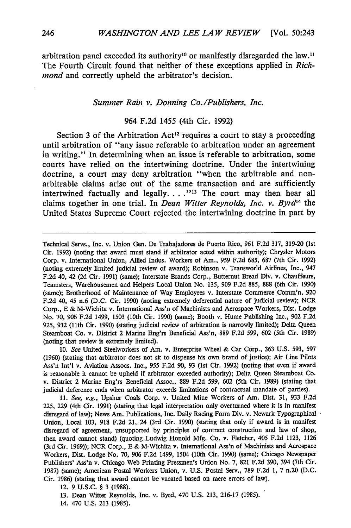arbitration panel exceeded its authority<sup>10</sup> or manifestly disregarded the law.<sup>11</sup> The Fourth Circuit found that neither of these exceptions applied in *Richmond* and correctly upheld the arbitrator's decision.

#### *Summer Rain v. Donning Co./Publishers, Inc.*

#### 964 F.2d 1455 (4th Cir. 1992)

Section 3 of the Arbitration Act<sup>12</sup> requires a court to stay a proceeding until arbitration of "any issue referable to arbitration under an agreement in writing." In determining when an issue is referable to arbitration, some courts have relied on the intertwining doctrine. Under the intertwining doctrine, a court may deny arbitration "when the arbitrable and nonarbitrable claims arise out of the same transaction and are sufficiently intertwined factually and legally. . . . <sup>"13</sup> The court may then hear all claims together in one trial. In *Dean Witter Reynolds, Inc. v. Byrd*<sup>14</sup> the United States Supreme Court rejected the intertwining doctrine in part by

- **13.** Dean Witter Reynolds, Inc. v. Byrd, 470 U.S. 213, 216-17 (1985).
- 14. 470 U.S. **213 (1985).**

Technical Servs., Inc. v. Union Gen. De Trabajadores de Puerto Rico, **961 F.2d 317,** 319-20 (1st Cir. **1992)** (noting that award must stand if arbitrator acted within authority); Chrysler Motors Corp. v. International Union, Allied Indus. Workers of Am., **959** F.2d 685, 687 (7th Cir. 1992) (noting extremely limited judicial review of award); Robinson v. Transworld Airlines, Inc., 947 F.2d 40, 42 **(2d** Cir. **1991)** (same); Interstate Brands Corp., Butternut Bread Div. v. Chauffeurs, Teamsters, Warehousemen and Helpers Local Union No. 135, **909** F.2d 885, 888 (6th Cir. **1990)** (same); Brotherhood of Maintenance of Way Employees v. Interstate Commerce Comm'n, **920** F.2d *40,* 45 n.6 (D.C. Cir. **1990)** (noting extremely deferential nature of judicial review); NCR Corp., E & M-Wichita v. International Ass'n of Machinists and Aerospace Workers, Dist. Lodge No. **70, 906** F.2d 1499, **1503** (10th Cir. **1990)** (same); Booth v. Hume Publishing Inc., **902** F.2d 925, **932** (l1th Cir. **1990)** (stating judicial review of arbitration is narrowly limited); Delta Queen Steamboat Co. v. District 2 Marine Eng'rs Beneficial Ass'n, **889** F.2d **599, 602** (5th Cir. **1989)** (noting that review is extremely limited).

**<sup>10.</sup>** *See* United Steelworkers of Am. v. Enterprise Wheel & Car Corp., **363** U.S. **593, 597** (1960) (stating that arbitrator does not sit to dispense his own brand of justice); Air Line Pilots Ass'n Int'l v. Aviation Assocs. Inc., **955** F.2d **90, 93** (1st Cir. **1992)** (noting that even if award is reasonable it cannot be upheld if arbitrator exceeded authority); Delta Queen Steamboat Co. v. District 2 Marine Eng'rs Beneficial Assoc., **889** F.2d **599, 602** (5th Cir. **1989)** (stating that judicial deference ends when arbitrator exceeds limitations of contractual mandate of parties).

<sup>11.</sup> *See, e.g.,* Upshur Coals Corp. v. United Mine Workers of Am. Dist. **31, 933** F.2d 225, **229** (4th Cir. **1991)** (stating that legal interpretation only overturned where it is in manifest disregard of law); News Am. Publications, Inc. Daily Racing Form Div. v. Newark Typographical Union, Local 103, **918** F.2d 21, 24 (3rd Cir. **1990)** (stating that only if award is in manifest disregard of agreement, unsupported by principles of contract construction and law of shop, then award cannot stand) (quoting Ludwig Honold Mfg. Co. v. Fletcher, 405 F.2d 1123, 1126 (3rd Cir. 1969)); NCR Corp., E & M-Wichita v. International Ass'n of Machinists and Aerospace Workers, Dist. Lodge No. **70, 906** F.2d 1499, 1504 (10th Cir. **1990)** (same); Chicago Newspaper Publishers' Ass'n v. Chicago Web Printing Pressmen's Union No. 7, 821 F.2d **390,** 394 (7th Cir. 1987) (same); American Postal Workers Union, v. U.S. Postal Serv., **789** F.2d 1, 7 n.20 (D.C. Cir. 1986) (stating that award cannot be vacated based on mere errors of law).

<sup>12.</sup> **9 U.S.C.** § 3 **(1988).**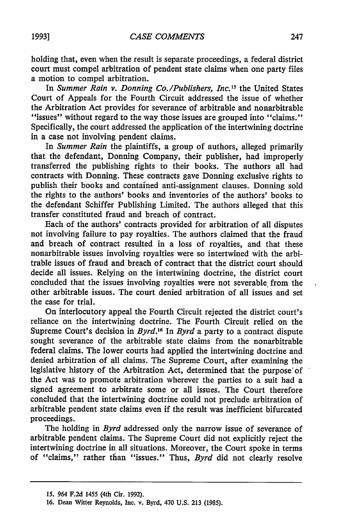holding that, even when the result is separate proceedings, a federal district court must compel arbitration of pendent state claims when one party files a motion to compel arbitration.

In *Summer Rain v. Donning Co./Publishers, Inc."* the United States Court of Appeals for the Fourth Circuit addressed the issue of whether the Arbitration Act provides for severance of arbitrable and nonarbitrable "issues" without regard to the way those issues are grouped into "claims." Specifically, the court addressed the application of the intertwining doctrine in a case not involving pendent claims.

In *Summer Rain* the plaintiffs, a group of authors, alleged primarily that the defendant, Donning Company, their publisher, had improperly transferred the publishing rights to their books. The authors all had contracts with Donning. These contracts gave Donning exclusive rights to publish their books and contained anti-assignment clauses. Donning sold the rights to the authors' books and inventories of the authors' books to the defendant Schiffer Publishing Limited. The authors alleged that this transfer constituted fraud and breach of contract.

Each of the authors' contracts provided for arbitration of all disputes not involving failure to pay royalties. The authors claimed that the fraud and breach of contract resulted in a loss of royalties, and that these nonarbitrable issues involving royalties were so intertwined with the arbitrable issues of fraud and breach of contract that the district court should decide all issues. Relying on the intertwining doctrine, the district court concluded that the issues involving royalties were not severable from the other arbitrable issues. The court denied arbitration of all issues and set the case for trial.

On interlocutory appeal the Fourth Circuit rejected the district court's reliance on the intertwining doctrine. The Fourth Circuit relied on the Supreme Court's decision in *Byrd.16* In *Byrd* a party to a contract dispute sought severance of the arbitrable state claims from the nonarbitrable federal claims. The lower courts had applied the intertwining doctrine and denied arbitration of all claims. The Supreme Court, after examining the legislative history of the Arbitration Act, determined that the purpose'of the Act was to promote arbitration wherever the parties to a suit had a signed agreement to arbitrate some or all issues. The Court therefore concluded that the intertwining doctrine could not preclude arbitration of arbitrable pendent state claims even if the result was inefficient bifurcated proceedings.

The holding in *Byrd* addressed only the narrow issue of severance of arbitrable pendent claims. The Supreme Court did not explicitly reject the intertwining doctrine in all situations. Moreover, the Court spoke in terms of "claims," rather than "issues." Thus, *Byrd* did not clearly resolve

**<sup>15.</sup>** 964 **F.2d** 1455 (4th Cir. **1992).**

**<sup>16.</sup>** Dean Witter Reynolds, Inc. v. Byrd, 470 **U.S. 213 (1985).**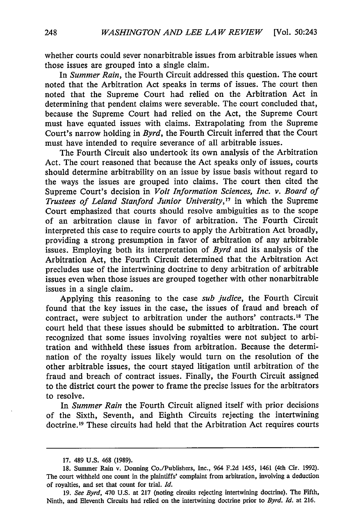whether courts could sever nonarbitrable issues from arbitrable issues when those issues are grouped into a single claim.

In *Summer Rain,* the Fourth Circuit addressed this question. The court noted that the Arbitration Act speaks in terms of issues. The court then noted that the Supreme Court had relied on the Arbitration Act in determining that pendent claims were severable. The court concluded that, because the Supreme Court had relied on the Act, the Supreme Court must have equated issues with claims. Extrapolating from the Supreme Court's narrow holding in *Byrd,* the Fourth Circuit inferred that the Court must have intended to require severance of all arbitrable issues.

The Fourth Circuit also undertook its own analysis of the Arbitration Act. The court reasoned that because the Act speaks only of issues, courts should determine arbitrability on an issue by issue basis without regard to the ways the issues are grouped into claims. The court then cited the Supreme Court's decision in *Volt Information Sciences, Inc. v. Board of Trustees of Leland Stanford Junior University,17* in which the Supreme Court emphasized that courts should resolve ambiguities as to the scope of an arbitration clause in favor of arbitration. The Fourth Circuit interpreted this case to require courts to apply the Arbitration Act broadly, providing a strong presumption in favor of arbitration of any arbitrable issues. Employing both its interpretation of *Byrd* and its analysis of the Arbitration Act, the Fourth Circuit determined that the Arbitration Act precludes use of the intertwining doctrine to deny arbitration of arbitrable issues even when those issues are grouped together with other nonarbitrable issues in a single claim.

Applying this reasoning to the case *sub judice,* the Fourth Circuit found that the key issues in the case, the issues of fraud and breach of contract, were subject to arbitration under the authors' contracts.18 The court held that these issues should be submitted to arbitration. The court recognized that some issues involving royalties were not subject to arbitration and withheld these issues from arbitration. Because the determination of the royalty issues likely would turn on the resolution of the other arbitrable issues, the court stayed litigation until arbitration of the fraud and breach of contract issues. Finally, the Fourth Circuit assigned to the district court the power to frame the precise issues for the arbitrators to resolve.

In *Summer Rain* the Fourth Circuit aligned itself with prior decisions of the Sixth, Seventh, and Eighth Circuits rejecting the intertwining doctrine.19 These circuits had held that the Arbitration Act requires courts

<sup>17. 489</sup> U.S. 468 (1989).

<sup>18.</sup> Summer Rain v. Donning Co./Publishers, Inc., 964 F.2d 1455, 1461 (4th Cir. 1992). The court withheld one count in the plaintiffs' complaint from arbitration, involving a deduction of royalties, and set that count for trial. *Id.*

**<sup>19.</sup>** *See Byrd,* 470 U.S. at 217 (noting circits rejecting intertwining doctrine). The Fifth, Ninth, and Eleventh Circuits had relied on the intertwining doctrine prior to *Byrd. Id.* at **216.**